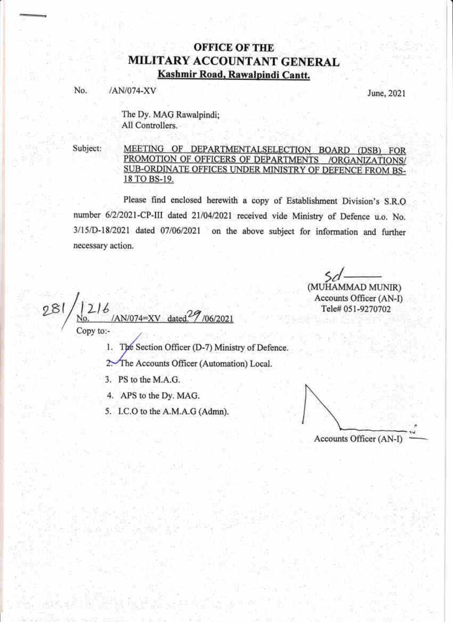# **OFFICE OF THE** MILITARY ACCOUNTANT GENERAL Kashmir Road, Rawalpindi Cantt.

No. /AN/074-XV

June, 2Q2l

I

The Dy. MAG Rawalpindi; All Controllers.

MEETING OF DEPARTMENTALSELECTION BOARD (DSB) FOR PROMOTION OF OFFICERS OF DEPARTMENTS /ORGANIZATIONS/ Subject: SUB-ORDINATE OFFICES UNDER MINISTRY OF DEFENCE FROM BS-18 TO BS-19.

Please find enclosed herewith a copy of Establishment Division's S.R.O. number 6/2/2021-CP-III dated 21/04/2021 received vide Ministry of Defence u.o. No. 3/15/D-18/2021 dated 07/06/2021 on the above subject for information and further necessary action

(MUHAMMAD MUNIR) Accounts Officer (AN-I) Tele# Q5l-9270702

281  $|216$ /AN/074=XV dated. 7/06/2021 Copy to:-

1. The Section Officer (D-7) Ministry of Defence.

2. The Accounts Officer (Automation) Local.

3. PS to the M.A.G.

4. APS to the Dy. MAG.

5. I.C.O to the A.M.A.G (Admn).

Accounts Officer (AN-I) r{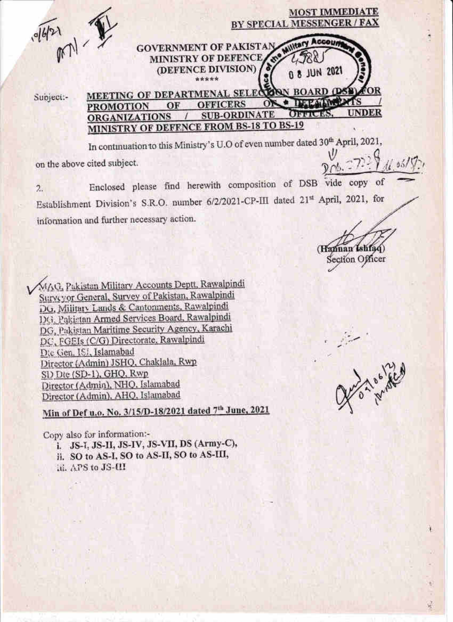

Enclosed please find herewith composition of DSB vide copy of  $2.$ Establishment Division's S.R.O. number 6/2/2021-CP-III dated 21st April, 2021, for information and further necessary action.

(Hannan Ishfa Section Officer

MAG, Pakistan Military Accounts Deptt, Rawalpindi Survsyor General, Survey of Pakistan, Rawalpindi DG, Military Lands & Cantonments, Rawalpindi DG, Pakistan Armed Services Board, Rawalpindi DG, Pakistan Maritime Security Agency, Karachi DC, FGEIs (C/G) Directorate, Rawalpindi Die Gen. ISI, Islamabad Director (Admin) JSHQ, Chaklala, Rwp SI) Die (SD-1), GHQ, Rwp Director (Admin), NHQ. Islamabad Director (Admin). AHQ. Islamabad

Min of Def u.o. No. 3/15/D-18/2021 dated 7th June, 2021

Copy also for information:-

- i. JS-I, JS-II, JS-IV, JS-VII, DS (Army-C),
- ii. SO to AS-I, SO to AS-II, SO to AS-III,
- iii. APS to JS-III

Orange Mary

ì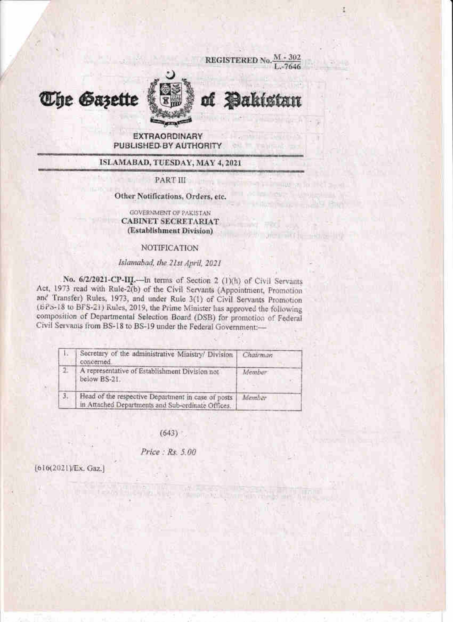$\frac{M - 302}{L - 7646}$ **REGISTERED No.** 

t

vien motor module to





## **EXTRAORDINARY** PUBLISHED BY AUTHORITY

### ISLAMABAD, TUESDAY, MAY 4, 2021

PART III

Other Notifications, Orders, etc.

#### **GOVERNMENT OF PAKISTAN CABINET SECRETARIAT** (Establishment Division)

#### **NOTIFICATION**

#### Islamabad, the 21st April, 2021

No. 6/2/2021-CP-III.-In terms of Section 2 (1)(h) of Civil Servants Act, 1973 read with Rule-2(b) of the Civil Servants (Appointment, Promotion and Transfer) Rules, 1973, and under Rule 3(1) of Civil Servants Promotion (BPS-18 to BFS-21) Rules, 2019, the Prime Minister has approved the following composition of Departmental Selection Board (DSB) for promotion of Federal Civil Servants from BS-18 to BS-19 under the Federal Government:-

|            | Secretary of the administrative Ministry/ Division<br>concerned                                         | Chairman |
|------------|---------------------------------------------------------------------------------------------------------|----------|
| $\sqrt{2}$ | A representative of Establishment Division not<br>below BS-21.                                          | Member:  |
| 3.         | Head of the respective Department in case of posts<br>in Attached Departments and Sub-ordinate Offices. | Member   |

 $(643)$ 

Price : Rs. 5.00

**CALL MINABILITY** 

[616(2021)/Ex. Gaz.]